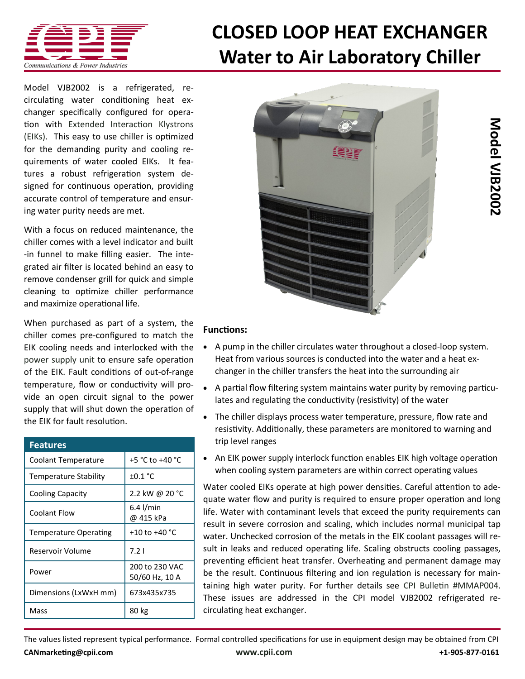

## **[CLOSED LOOP HEAT EXCHANGER](http://www.cpii.com/product.cfm/7/40/283) Water to Air Laboratory Chiller**

Model VJB2002 is a refrigerated, recirculating water conditioning heat exchanger specifically configured for operation with [Extended Interaction Klystrons](http://www.cpii.com/product.cfm/7/40)  [\(EIKs\).](http://www.cpii.com/product.cfm/7/40) This easy to use chiller is optimized for the demanding purity and cooling requirements of water cooled EIKs. It features a robust refrigeration system designed for continuous operation, providing accurate control of temperature and ensuring water purity needs are met.

With a focus on reduced maintenance, the chiller comes with a level indicator and built -in funnel to make filling easier. The integrated air filter is located behind an easy to remove condenser grill for quick and simple cleaning to optimize chiller performance and maximize operational life.

When purchased as part of a system, the chiller comes pre-configured to match the EIK cooling needs and interlocked with the [power supply unit](http://www.cpii.com/product.cfm/7/40/282) to ensure safe operation of the EIK. Fault conditions of out-of-range temperature, flow or conductivity will provide an open circuit signal to the power supply that will shut down the operation of the EIK for fault resolution.

| <b>Features</b>              |                                  |
|------------------------------|----------------------------------|
| Coolant Temperature          | +5 °C to +40 °C                  |
| <b>Temperature Stability</b> | $\pm 0.1$ °C                     |
| Cooling Capacity             | 2.2 kW @ 20 °C                   |
| Coolant Flow                 | $6.4$ l/min<br>@ 415 kPa         |
| <b>Temperature Operating</b> | +10 to +40 $^{\circ}$ C          |
| Reservoir Volume             | 7.21                             |
| Power                        | 200 to 230 VAC<br>50/60 Hz, 10 A |
| Dimensions (LxWxH mm)        | 673x435x735                      |
| Mass                         | 80 kg                            |



## **Functions:**

- A pump in the chiller circulates water throughout a closed-loop system. Heat from various sources is conducted into the water and a heat exchanger in the chiller transfers the heat into the surrounding air
- A partial flow filtering system maintains water purity by removing particulates and regulating the conductivity (resistivity) of the water
- The chiller displays process water temperature, pressure, flow rate and resistivity. Additionally, these parameters are monitored to warning and trip level ranges
- An EIK power supply interlock function enables EIK high voltage operation when cooling system parameters are within correct operating values

Water cooled EIKs operate at high power densities. Careful attention to adequate water flow and purity is required to ensure proper operation and long life. Water with contaminant levels that exceed the purity requirements can result in severe corrosion and scaling, which includes normal municipal tap water. Unchecked corrosion of the metals in the EIK coolant passages will result in leaks and reduced operating life. Scaling obstructs cooling passages, preventing efficient heat transfer. Overheating and permanent damage may be the result. Continuous filtering and ion regulation is necessary for maintaining high water purity. For further details see [CPI Bulletin #MMAP004.](http://www.cpii.com/docs/related/40/eikliquidcooling.pdf) These issues are addressed in the CPI model VJB2002 refrigerated recirculating heat exchanger.

The values listed represent typical performance. Formal controlled specifications for use in equipment design may be obtained from CPI **[CANmarketing@cpii.com](mailto:CANmarketing@cpii.com) [www.cpii.com](http://www.cpii.com) +1-905-877-0161**